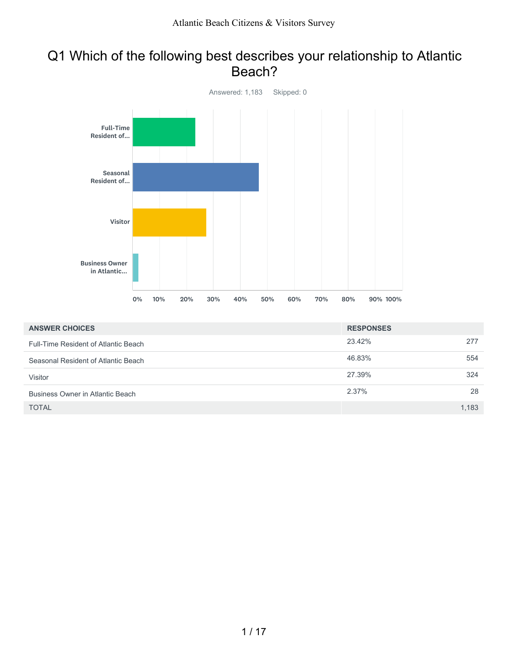#### Q1 Which of the following best describes your relationship to Atlantic Beach?



| <b>ANSWER CHOICES</b>                | <b>RESPONSES</b> |       |
|--------------------------------------|------------------|-------|
| Full-Time Resident of Atlantic Beach | 23.42%           | 277   |
| Seasonal Resident of Atlantic Beach  | 46.83%           | 554   |
| Visitor                              | 27.39%           | 324   |
| Business Owner in Atlantic Beach     | 2.37%            | 28    |
| <b>TOTAL</b>                         |                  | 1,183 |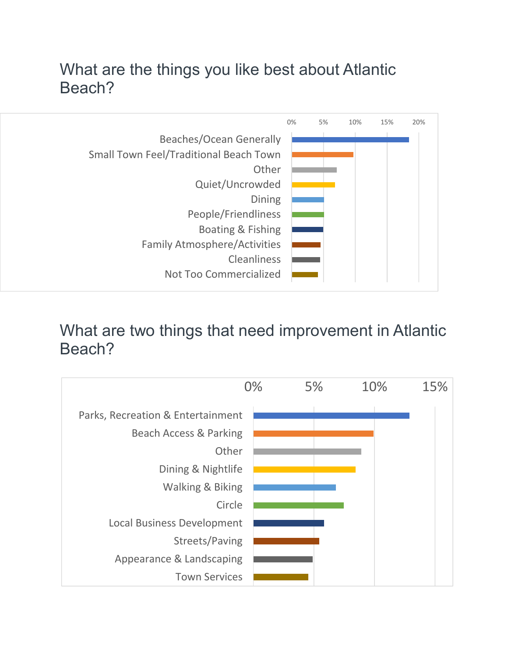## What are the things you like best about Atlantic Beach?



### What are two things that need improvement in Atlantic Beach?

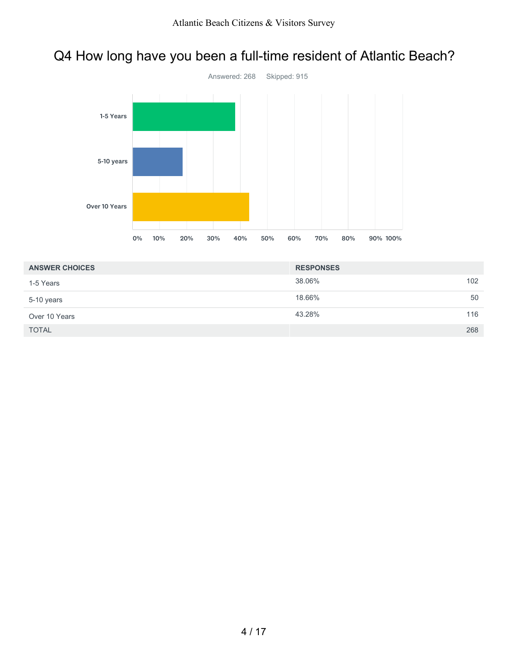### Q4 How long have you been a full-time resident of Atlantic Beach?



| <b>ANSWER CHOICES</b> | <b>RESPONSES</b> |     |
|-----------------------|------------------|-----|
| 1-5 Years             | 38.06%           | 102 |
| 5-10 years            | 18.66%           | 50  |
| Over 10 Years         | 43.28%           | 116 |
| <b>TOTAL</b>          |                  | 268 |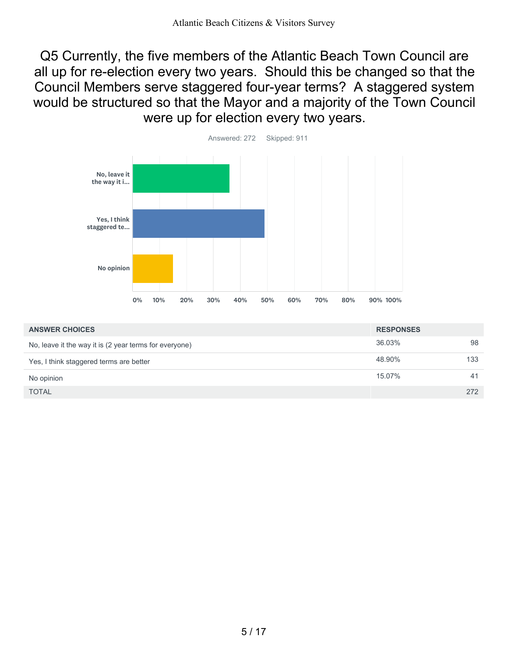Q5 Currently, the five members of the Atlantic Beach Town Council are all up for re-election every two years. Should this be changed so that the Council Members serve staggered four-year terms? A staggered system would be structured so that the Mayor and a majority of the Town Council were up for election every two years.



| <b>ANSWER CHOICES</b>                                  | <b>RESPONSES</b> |     |
|--------------------------------------------------------|------------------|-----|
| No, leave it the way it is (2 year terms for everyone) | 36.03%           | 98  |
| Yes, I think staggered terms are better                | 48.90%           | 133 |
| No opinion                                             | 15.07%           | 41  |
| <b>TOTAL</b>                                           |                  | 272 |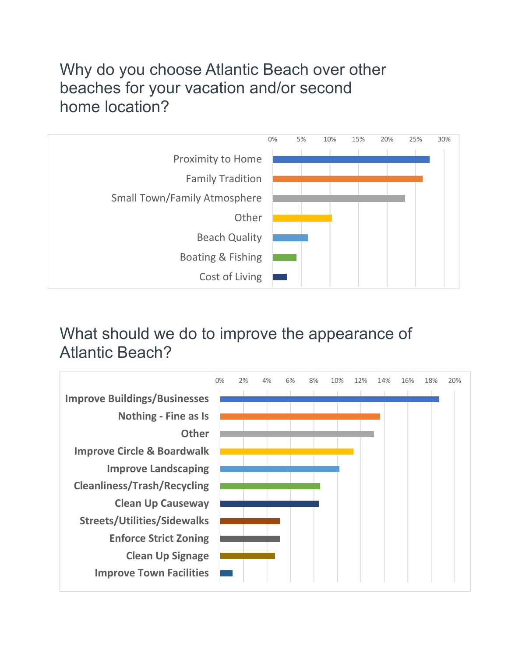## Why do you choose Atlantic Beach over other beaches for your vacation and/or second home location?



# What should we do to improve the appearance of Atlantic Beach?

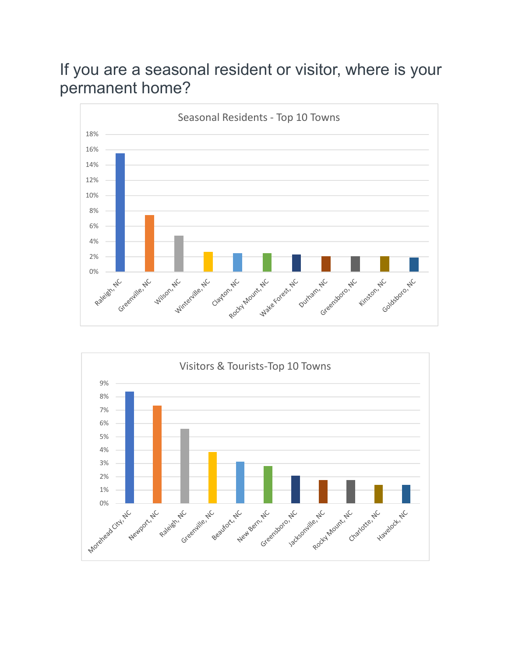### If you are a seasonal resident or visitor, where is your permanent home?



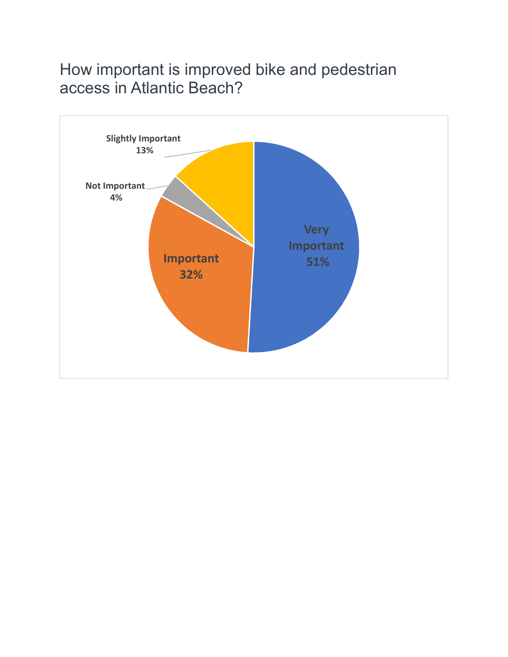### How important is improved bike and pedestrian access in Atlantic Beach?

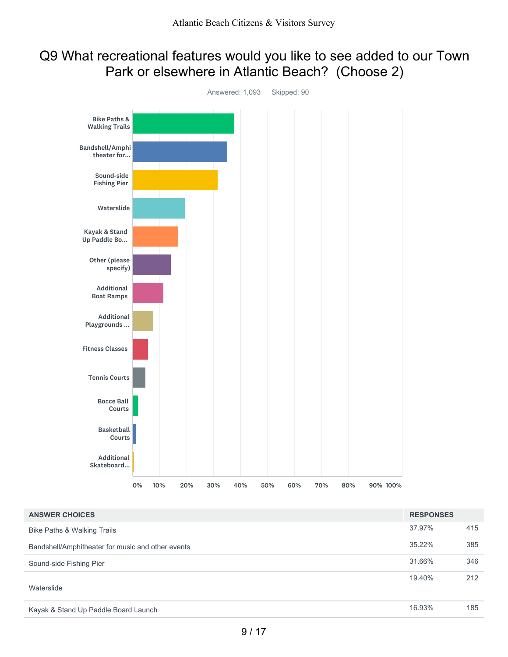#### Q9 What recreational features would you like to see added to our Town Park or elsewhere in Atlantic Beach? (Choose 2)



| <b>ANSWER CHOICES</b>                             | <b>RESPONSES</b> |     |
|---------------------------------------------------|------------------|-----|
| Bike Paths & Walking Trails                       | 37.97%           | 415 |
| Bandshell/Amphitheater for music and other events | $35.22\%$        | 385 |
| Sound-side Fishing Pier                           | 31.66%           | 346 |
| Waterslide                                        | 19.40%           | 212 |
| Kayak & Stand Up Paddle Board Launch              | 16.93%           | 185 |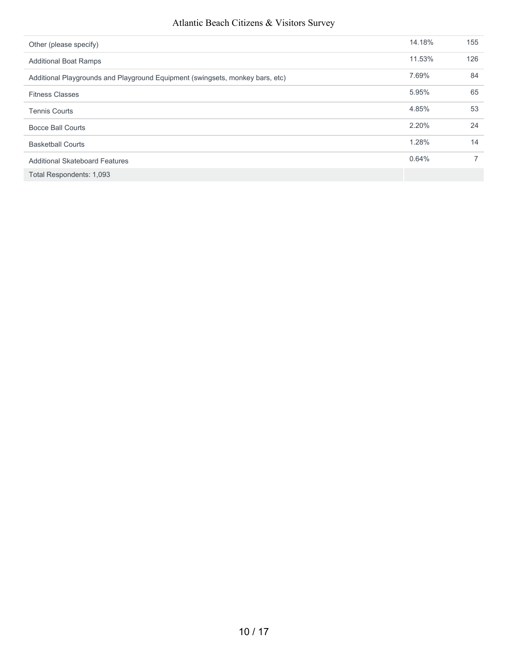#### Atlantic Beach Citizens & Visitors Survey

| Other (please specify)                                                        | 14.18% | 155 |
|-------------------------------------------------------------------------------|--------|-----|
| <b>Additional Boat Ramps</b>                                                  | 11.53% | 126 |
| Additional Playgrounds and Playground Equipment (swingsets, monkey bars, etc) | 7.69%  | 84  |
| <b>Fitness Classes</b>                                                        | 5.95%  | 65  |
| <b>Tennis Courts</b>                                                          | 4.85%  | 53  |
| Bocce Ball Courts                                                             | 2.20%  | 24  |
| <b>Basketball Courts</b>                                                      | 1.28%  | 14  |
| <b>Additional Skateboard Features</b>                                         | 0.64%  | 7   |
| Total Respondents: 1,093                                                      |        |     |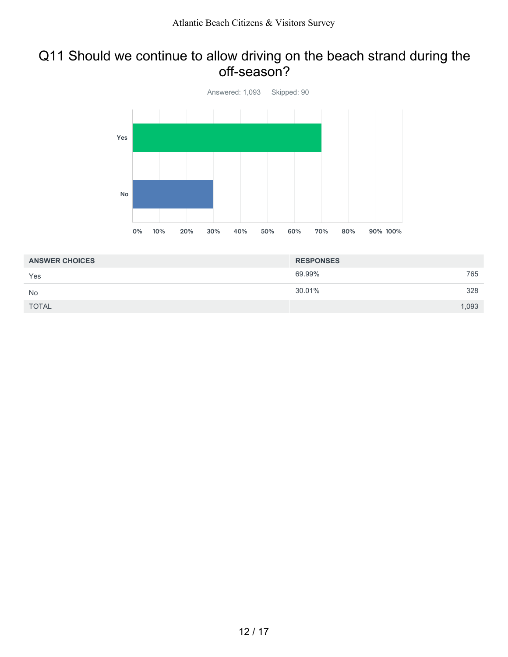#### Q11 Should we continue to allow driving on the beach strand during the off-season?



| <b>ANSWER CHOICES</b> | <b>RESPONSES</b> |       |
|-----------------------|------------------|-------|
| Yes                   | 69.99%           | 765   |
| <b>No</b>             | 30.01%           | 328   |
| <b>TOTAL</b>          |                  | 1,093 |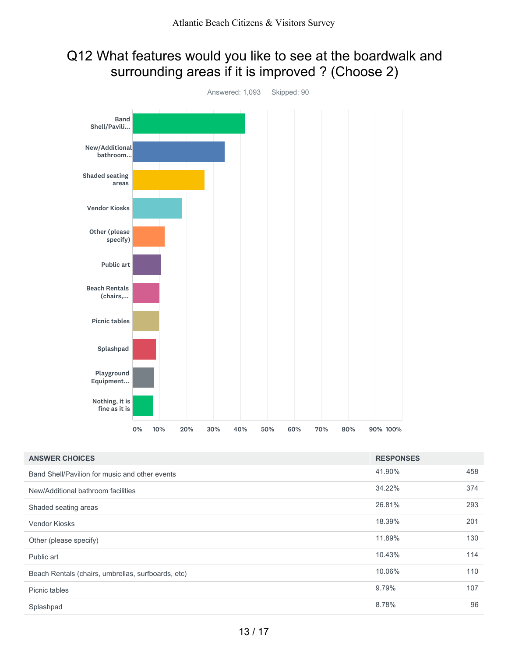### Q12 What features would you like to see at the boardwalk and surrounding areas if it is improved ? (Choose 2)



| <b>ANSWER CHOICES</b>                              | <b>RESPONSES</b> |     |
|----------------------------------------------------|------------------|-----|
| Band Shell/Pavilion for music and other events     | 41.90%           | 458 |
| New/Additional bathroom facilities                 | 34.22%           | 374 |
| Shaded seating areas                               | 26.81%           | 293 |
| <b>Vendor Kiosks</b>                               | 18.39%           | 201 |
| Other (please specify)                             | 11.89%           | 130 |
| Public art                                         | 10.43%           | 114 |
| Beach Rentals (chairs, umbrellas, surfboards, etc) | 10.06%           | 110 |
| Picnic tables                                      | 9.79%            | 107 |
| Splashpad                                          | 8.78%            | 96  |
|                                                    |                  |     |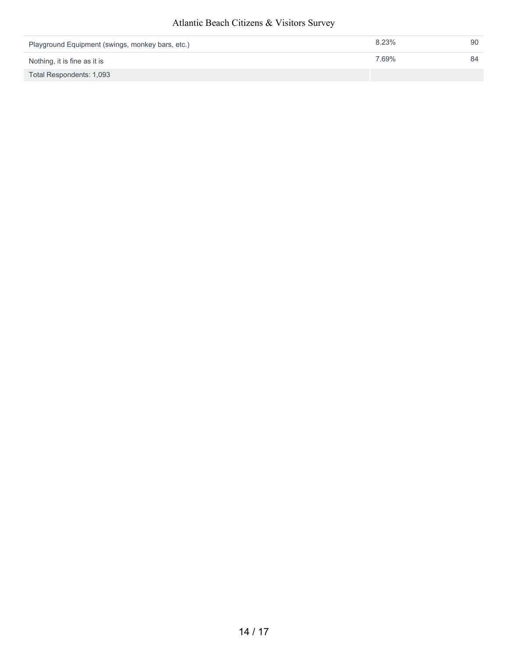#### Atlantic Beach Citizens & Visitors Survey

| Playground Equipment (swings, monkey bars, etc.) | 8.23% | 90 |
|--------------------------------------------------|-------|----|
| Nothing, it is fine as it is                     | 7.69% | 84 |
| Total Respondents: 1,093                         |       |    |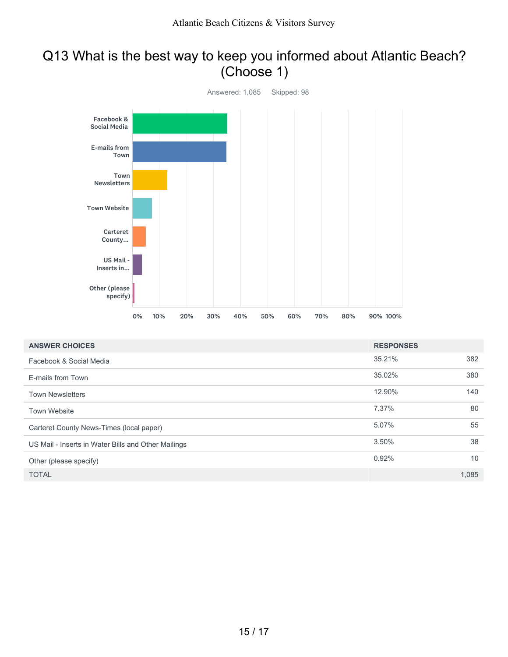### Q13 What is the best way to keep you informed about Atlantic Beach? (Choose 1)



| <b>ANSWER CHOICES</b>                               | <b>RESPONSES</b> |       |
|-----------------------------------------------------|------------------|-------|
| Facebook & Social Media                             | 35.21%           | 382   |
| E-mails from Town                                   | 35.02%           | 380   |
| <b>Town Newsletters</b>                             | 12.90%           | 140   |
| <b>Town Website</b>                                 | 7.37%            | 80    |
| Carteret County News-Times (local paper)            | 5.07%            | 55    |
| US Mail - Inserts in Water Bills and Other Mailings | 3.50%            | 38    |
| Other (please specify)                              | 0.92%            | 10    |
| <b>TOTAL</b>                                        |                  | 1,085 |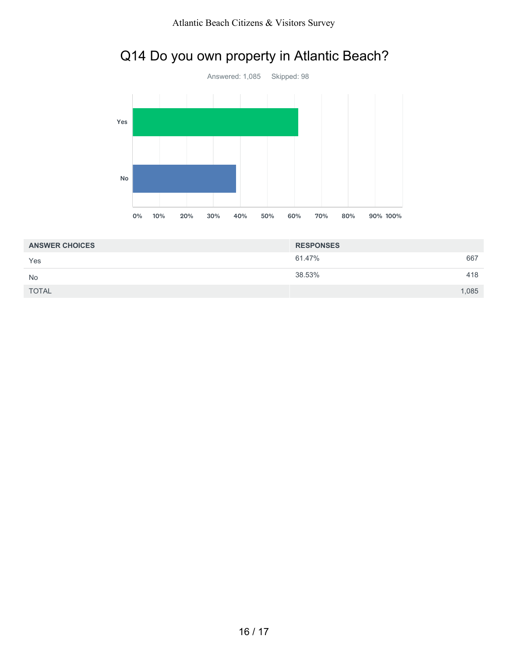

### Q14 Do you own property in Atlantic Beach?

| <b>ANSWER CHOICES</b> | <b>RESPONSES</b> |       |
|-----------------------|------------------|-------|
| Yes                   | 61.47%           | 667   |
| <b>No</b>             | 38.53%           | 418   |
| <b>TOTAL</b>          |                  | 1,085 |